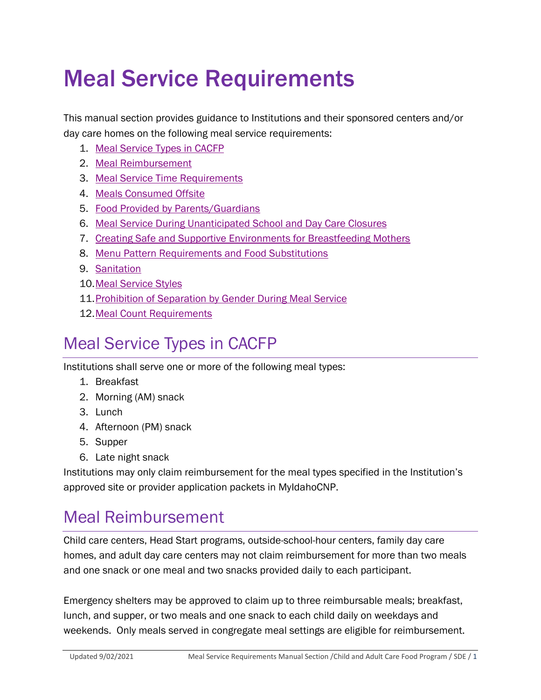# Meal Service Requirements

This manual section provides guidance to Institutions and their sponsored centers and/or day care homes on the following meal service requirements:

- 1. [Meal Service Types in CACFP](#page-0-0)
- 2. [Meal Reimbursement](#page-0-1)
- 3. [Meal Service Time Requirements](#page-2-0)
- 4. [Meals Consumed Offsite](#page-5-0)
- 5. [Food Provided by Parents/Guardians](#page-5-1)
- 6. [Meal Service During Unanticipated School and Day Care Closures](#page-6-0)
- 7. [Creating Safe and Supportive Environments for Breastfeeding Mothers](#page-7-0)
- 8. [Menu Pattern Requirements and Food Substitutions](#page-9-0)
- 9. [Sanitation](#page-10-0)
- 10[.Meal Service Styles](#page-11-0)
- 11[.Prohibition of Separation by Gender During Meal Service](#page-18-0)
- 12[.Meal Count Requirements](#page-20-0)

### <span id="page-0-0"></span>Meal Service Types in CACFP

Institutions shall serve one or more of the following meal types:

- 1. Breakfast
- 2. Morning (AM) snack
- 3. Lunch
- 4. Afternoon (PM) snack
- 5. Supper
- 6. Late night snack

Institutions may only claim reimbursement for the meal types specified in the Institution's approved site or provider application packets in MyIdahoCNP.

### <span id="page-0-1"></span>Meal Reimbursement

Child care centers, Head Start programs, outside-school-hour centers, family day care homes, and adult day care centers may not claim reimbursement for more than two meals and one snack or one meal and two snacks provided daily to each participant.

Emergency shelters may be approved to claim up to three reimbursable meals; breakfast, lunch, and supper, or two meals and one snack to each child daily on weekdays and weekends. Only meals served in congregate meal settings are eligible for reimbursement.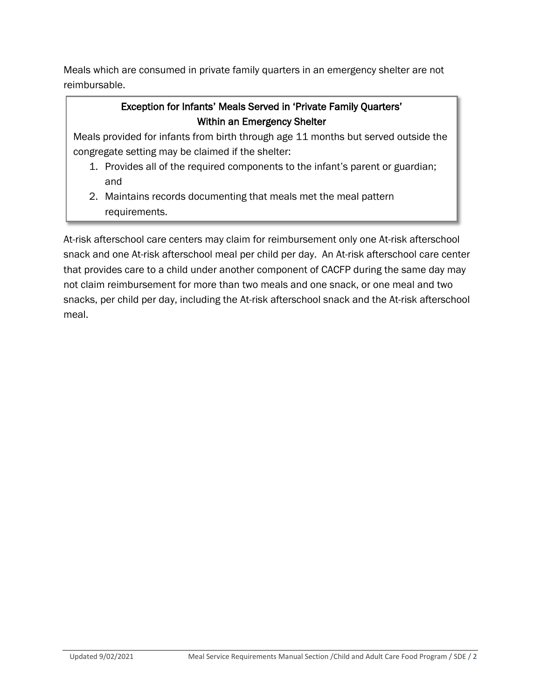Meals which are consumed in private family quarters in an emergency shelter are not reimbursable.

#### Exception for Infants' Meals Served in 'Private Family Quarters' Within an Emergency Shelter

Meals provided for infants from birth through age 11 months but served outside the congregate setting may be claimed if the shelter:

- 1. Provides all of the required components to the infant's parent or guardian; and
- 2. Maintains records documenting that meals met the meal pattern requirements.

At-risk afterschool care centers may claim for reimbursement only one At-risk afterschool snack and one At-risk afterschool meal per child per day. An At-risk afterschool care center that provides care to a child under another component of CACFP during the same day may not claim reimbursement for more than two meals and one snack, or one meal and two snacks, per child per day, including the At-risk afterschool snack and the At-risk afterschool meal.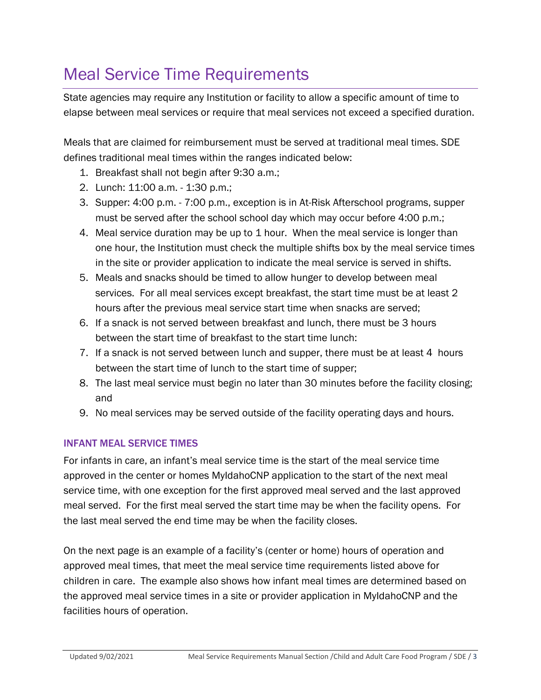### <span id="page-2-0"></span>Meal Service Time Requirements

State agencies may require any Institution or facility to allow a specific amount of time to elapse between meal services or require that meal services not exceed a specified duration.

Meals that are claimed for reimbursement must be served at traditional meal times. SDE defines traditional meal times within the ranges indicated below:

- 1. Breakfast shall not begin after 9:30 a.m.;
- 2. Lunch: 11:00 a.m. 1:30 p.m.;
- 3. Supper: 4:00 p.m. 7:00 p.m., exception is in At-Risk Afterschool programs, supper must be served after the school school day which may occur before 4:00 p.m.;
- 4. Meal service duration may be up to 1 hour. When the meal service is longer than one hour, the Institution must check the multiple shifts box by the meal service times in the site or provider application to indicate the meal service is served in shifts.
- 5. Meals and snacks should be timed to allow hunger to develop between meal services. For all meal services except breakfast, the start time must be at least 2 hours after the previous meal service start time when snacks are served;
- 6. If a snack is not served between breakfast and lunch, there must be 3 hours between the start time of breakfast to the start time lunch:
- 7. If a snack is not served between lunch and supper, there must be at least 4 hours between the start time of lunch to the start time of supper;
- 8. The last meal service must begin no later than 30 minutes before the facility closing; and
- 9. No meal services may be served outside of the facility operating days and hours.

#### INFANT MEAL SERVICE TIMES

For infants in care, an infant's meal service time is the start of the meal service time approved in the center or homes MyIdahoCNP application to the start of the next meal service time, with one exception for the first approved meal served and the last approved meal served. For the first meal served the start time may be when the facility opens. For the last meal served the end time may be when the facility closes.

On the next page is an example of a facility's (center or home) hours of operation and approved meal times, that meet the meal service time requirements listed above for children in care. The example also shows how infant meal times are determined based on the approved meal service times in a site or provider application in MyIdahoCNP and the facilities hours of operation.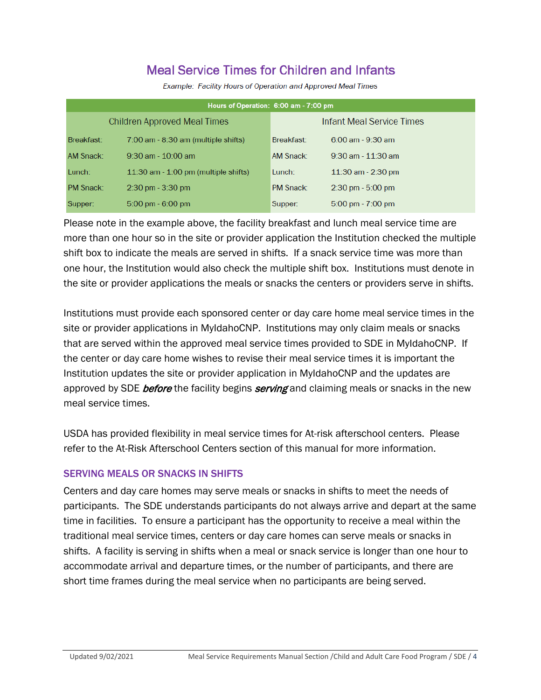### **Meal Service Times for Children and Infants**

| Hours of Operation: 6:00 am - 7:00 pm |                                         |                           |                                     |  |  |  |  |  |  |  |  |  |
|---------------------------------------|-----------------------------------------|---------------------------|-------------------------------------|--|--|--|--|--|--|--|--|--|
|                                       | Children Approved Meal Times            | Infant Meal Service Times |                                     |  |  |  |  |  |  |  |  |  |
| Breakfast:                            | $7:00$ am - $8:30$ am (multiple shifts) | Breakfast:                | $6:00$ am - 9:30 am                 |  |  |  |  |  |  |  |  |  |
| AM Snack:                             | $9:30$ am - $10:00$ am                  | AM Snack:                 | $9:30$ am - $11:30$ am              |  |  |  |  |  |  |  |  |  |
| Lunch:                                | $11:30$ am $-1:00$ pm (multiple shifts) | Lunch:                    | $11:30$ am - 2:30 pm                |  |  |  |  |  |  |  |  |  |
| <b>PM Snack:</b>                      | $2:30 \text{ pm} - 3:30 \text{ pm}$     | <b>PM Snack:</b>          | $2:30 \text{ pm} - 5:00 \text{ pm}$ |  |  |  |  |  |  |  |  |  |
| Supper:                               | $5:00 \text{ pm} - 6:00 \text{ pm}$     | Supper:                   | $5:00 \text{ pm} - 7:00 \text{ pm}$ |  |  |  |  |  |  |  |  |  |

Example: Facility Hours of Operation and Approved Meal Times

Please note in the example above, the facility breakfast and lunch meal service time are more than one hour so in the site or provider application the Institution checked the multiple shift box to indicate the meals are served in shifts. If a snack service time was more than one hour, the Institution would also check the multiple shift box. Institutions must denote in the site or provider applications the meals or snacks the centers or providers serve in shifts.

Institutions must provide each sponsored center or day care home meal service times in the site or provider applications in MyIdahoCNP. Institutions may only claim meals or snacks that are served within the approved meal service times provided to SDE in MyIdahoCNP. If the center or day care home wishes to revise their meal service times it is important the Institution updates the site or provider application in MyIdahoCNP and the updates are approved by SDE before the facility begins serving and claiming meals or snacks in the new meal service times.

USDA has provided flexibility in meal service times for At-risk afterschool centers. Please refer to the At-Risk Afterschool Centers section of this manual for more information.

#### SERVING MEALS OR SNACKS IN SHIFTS

Centers and day care homes may serve meals or snacks in shifts to meet the needs of participants. The SDE understands participants do not always arrive and depart at the same time in facilities. To ensure a participant has the opportunity to receive a meal within the traditional meal service times, centers or day care homes can serve meals or snacks in shifts. A facility is serving in shifts when a meal or snack service is longer than one hour to accommodate arrival and departure times, or the number of participants, and there are short time frames during the meal service when no participants are being served.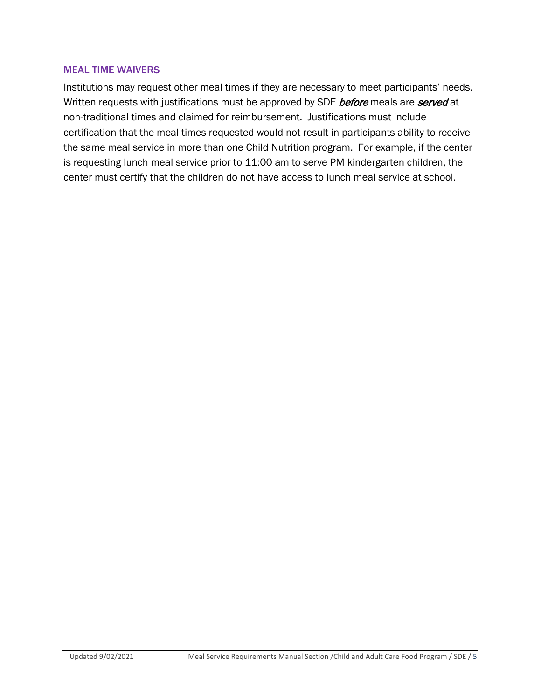#### MEAL TIME WAIVERS

Institutions may request other meal times if they are necessary to meet participants' needs. Written requests with justifications must be approved by SDE before meals are served at non-traditional times and claimed for reimbursement. Justifications must include certification that the meal times requested would not result in participants ability to receive the same meal service in more than one Child Nutrition program. For example, if the center is requesting lunch meal service prior to 11:00 am to serve PM kindergarten children, the center must certify that the children do not have access to lunch meal service at school.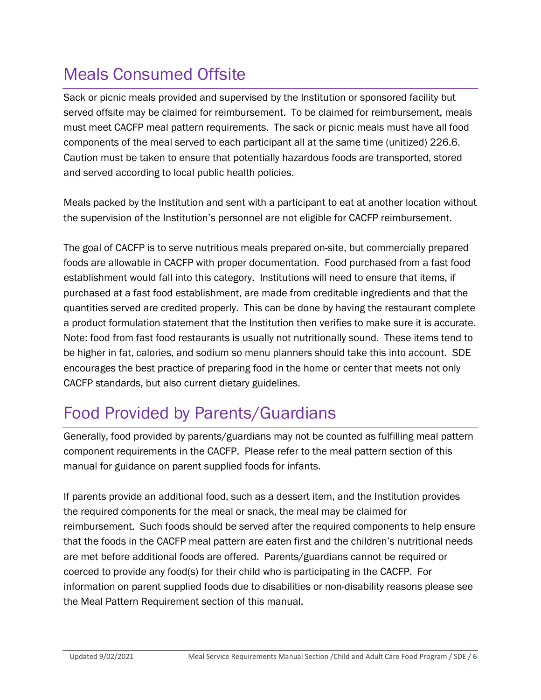### <span id="page-5-0"></span>Meals Consumed Offsite

Sack or picnic meals provided and supervised by the Institution or sponsored facility but served offsite may be claimed for reimbursement. To be claimed for reimbursement, meals must meet CACFP meal pattern requirements. The sack or picnic meals must have all food components of the meal served to each participant all at the same time (unitized) 226.6. Caution must be taken to ensure that potentially hazardous foods are transported, stored and served according to local public health policies.

Meals packed by the Institution and sent with a participant to eat at another location without the supervision of the Institution's personnel are not eligible for CACFP reimbursement.

The goal of CACFP is to serve nutritious meals prepared on-site, but commercially prepared foods are allowable in CACFP with proper documentation. Food purchased from a fast food establishment would fall into this category. Institutions will need to ensure that items, if purchased at a fast food establishment, are made from creditable ingredients and that the quantities served are credited properly. This can be done by having the restaurant complete a product formulation statement that the Institution then verifies to make sure it is accurate. Note: food from fast food restaurants is usually not nutritionally sound. These items tend to be higher in fat, calories, and sodium so menu planners should take this into account. SDE encourages the best practice of preparing food in the home or center that meets not only CACFP standards, but also current dietary guidelines.

### <span id="page-5-1"></span>Food Provided by Parents/Guardians

Generally, food provided by parents/guardians may not be counted as fulfilling meal pattern component requirements in the CACFP. Please refer to the meal pattern section of this manual for guidance on parent supplied foods for infants.

If parents provide an additional food, such as a dessert item, and the Institution provides the required components for the meal or snack, the meal may be claimed for reimbursement. Such foods should be served after the required components to help ensure that the foods in the CACFP meal pattern are eaten first and the children's nutritional needs are met before additional foods are offered. Parents/guardians cannot be required or coerced to provide any food(s) for their child who is participating in the CACFP. For information on parent supplied foods due to disabilities or non-disability reasons please see the Meal Pattern Requirement section of this manual.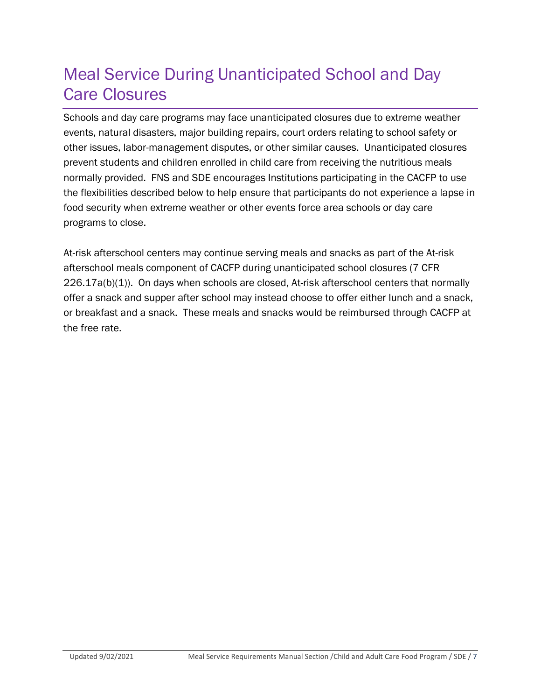### <span id="page-6-0"></span>Meal Service During Unanticipated School and Day Care Closures

Schools and day care programs may face unanticipated closures due to extreme weather events, natural disasters, major building repairs, court orders relating to school safety or other issues, labor-management disputes, or other similar causes. Unanticipated closures prevent students and children enrolled in child care from receiving the nutritious meals normally provided. FNS and SDE encourages Institutions participating in the CACFP to use the flexibilities described below to help ensure that participants do not experience a lapse in food security when extreme weather or other events force area schools or day care programs to close.

At-risk afterschool centers may continue serving meals and snacks as part of the At-risk afterschool meals component of CACFP during unanticipated school closures (7 CFR 226.17a(b)(1)). On days when schools are closed, At-risk afterschool centers that normally offer a snack and supper after school may instead choose to offer either lunch and a snack, or breakfast and a snack. These meals and snacks would be reimbursed through CACFP at the free rate.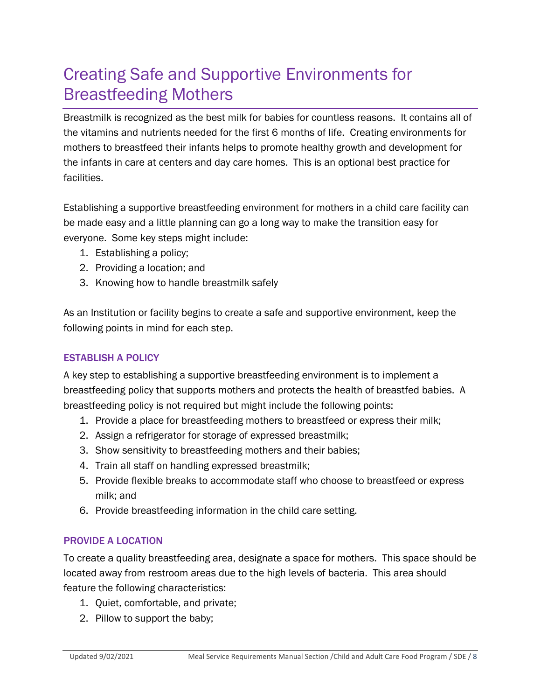### <span id="page-7-0"></span>Creating Safe and Supportive Environments for Breastfeeding Mothers

Breastmilk is recognized as the best milk for babies for countless reasons. It contains all of the vitamins and nutrients needed for the first 6 months of life. Creating environments for mothers to breastfeed their infants helps to promote healthy growth and development for the infants in care at centers and day care homes. This is an optional best practice for facilities.

Establishing a supportive breastfeeding environment for mothers in a child care facility can be made easy and a little planning can go a long way to make the transition easy for everyone. Some key steps might include:

- 1. Establishing a policy;
- 2. Providing a location; and
- 3. Knowing how to handle breastmilk safely

As an Institution or facility begins to create a safe and supportive environment, keep the following points in mind for each step.

#### ESTABLISH A POLICY

A key step to establishing a supportive breastfeeding environment is to implement a breastfeeding policy that supports mothers and protects the health of breastfed babies. A breastfeeding policy is not required but might include the following points:

- 1. Provide a place for breastfeeding mothers to breastfeed or express their milk;
- 2. Assign a refrigerator for storage of expressed breastmilk;
- 3. Show sensitivity to breastfeeding mothers and their babies;
- 4. Train all staff on handling expressed breastmilk;
- 5. Provide flexible breaks to accommodate staff who choose to breastfeed or express milk; and
- 6. Provide breastfeeding information in the child care setting.

#### PROVIDE A LOCATION

To create a quality breastfeeding area, designate a space for mothers. This space should be located away from restroom areas due to the high levels of bacteria. This area should feature the following characteristics:

- 1. Quiet, comfortable, and private;
- 2. Pillow to support the baby;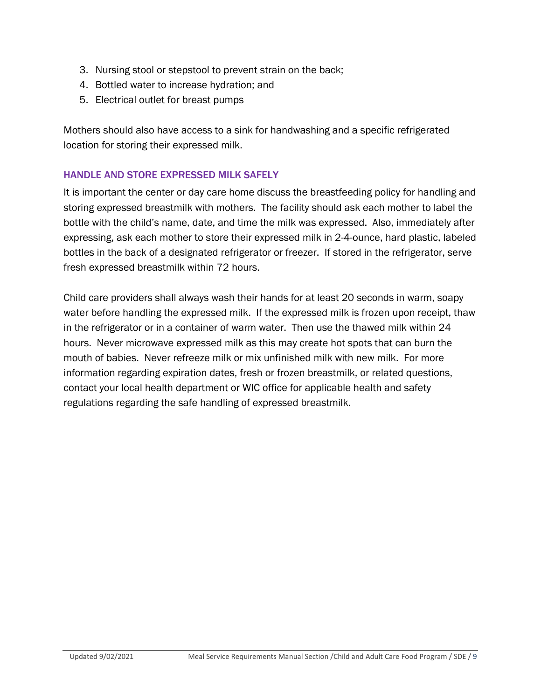- 3. Nursing stool or stepstool to prevent strain on the back;
- 4. Bottled water to increase hydration; and
- 5. Electrical outlet for breast pumps

Mothers should also have access to a sink for handwashing and a specific refrigerated location for storing their expressed milk.

#### HANDLE AND STORE EXPRESSED MILK SAFELY

It is important the center or day care home discuss the breastfeeding policy for handling and storing expressed breastmilk with mothers. The facility should ask each mother to label the bottle with the child's name, date, and time the milk was expressed. Also, immediately after expressing, ask each mother to store their expressed milk in 2-4-ounce, hard plastic, labeled bottles in the back of a designated refrigerator or freezer. If stored in the refrigerator, serve fresh expressed breastmilk within 72 hours.

Child care providers shall always wash their hands for at least 20 seconds in warm, soapy water before handling the expressed milk. If the expressed milk is frozen upon receipt, thaw in the refrigerator or in a container of warm water. Then use the thawed milk within 24 hours. Never microwave expressed milk as this may create hot spots that can burn the mouth of babies. Never refreeze milk or mix unfinished milk with new milk. For more information regarding expiration dates, fresh or frozen breastmilk, or related questions, contact your local health department or WIC office for applicable health and safety regulations regarding the safe handling of expressed breastmilk.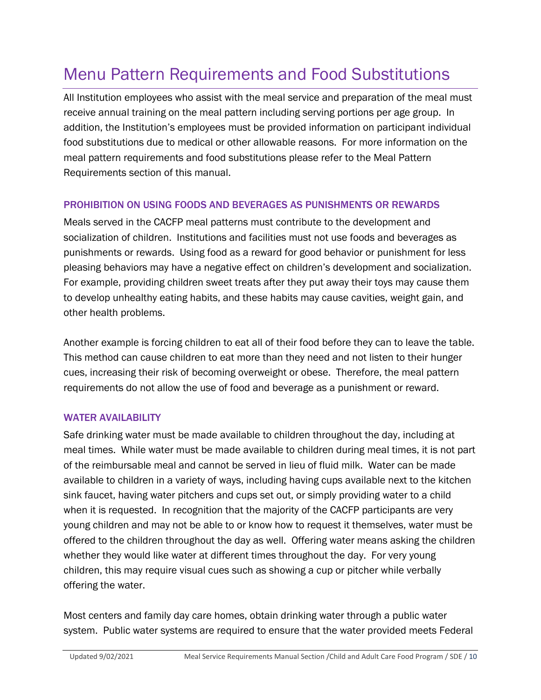## <span id="page-9-0"></span>Menu Pattern Requirements and Food Substitutions

All Institution employees who assist with the meal service and preparation of the meal must receive annual training on the meal pattern including serving portions per age group. In addition, the Institution's employees must be provided information on participant individual food substitutions due to medical or other allowable reasons. For more information on the meal pattern requirements and food substitutions please refer to the Meal Pattern Requirements section of this manual.

#### PROHIBITION ON USING FOODS AND BEVERAGES AS PUNISHMENTS OR REWARDS

Meals served in the CACFP meal patterns must contribute to the development and socialization of children. Institutions and facilities must not use foods and beverages as punishments or rewards. Using food as a reward for good behavior or punishment for less pleasing behaviors may have a negative effect on children's development and socialization. For example, providing children sweet treats after they put away their toys may cause them to develop unhealthy eating habits, and these habits may cause cavities, weight gain, and other health problems.

Another example is forcing children to eat all of their food before they can to leave the table. This method can cause children to eat more than they need and not listen to their hunger cues, increasing their risk of becoming overweight or obese. Therefore, the meal pattern requirements do not allow the use of food and beverage as a punishment or reward.

#### WATER AVAILABILITY

Safe drinking water must be made available to children throughout the day, including at meal times. While water must be made available to children during meal times, it is not part of the reimbursable meal and cannot be served in lieu of fluid milk. Water can be made available to children in a variety of ways, including having cups available next to the kitchen sink faucet, having water pitchers and cups set out, or simply providing water to a child when it is requested. In recognition that the majority of the CACFP participants are very young children and may not be able to or know how to request it themselves, water must be offered to the children throughout the day as well. Offering water means asking the children whether they would like water at different times throughout the day. For very young children, this may require visual cues such as showing a cup or pitcher while verbally offering the water.

Most centers and family day care homes, obtain drinking water through a public water system. Public water systems are required to ensure that the water provided meets Federal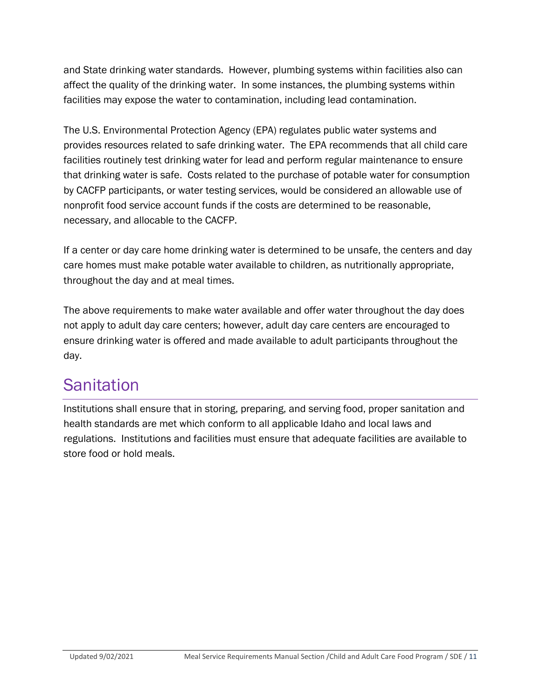and State drinking water standards. However, plumbing systems within facilities also can affect the quality of the drinking water. In some instances, the plumbing systems within facilities may expose the water to contamination, including lead contamination.

The U.S. Environmental Protection Agency (EPA) regulates public water systems and provides resources related to safe drinking water. The EPA recommends that all child care facilities routinely test drinking water for lead and perform regular maintenance to ensure that drinking water is safe. Costs related to the purchase of potable water for consumption by CACFP participants, or water testing services, would be considered an allowable use of nonprofit food service account funds if the costs are determined to be reasonable, necessary, and allocable to the CACFP.

If a center or day care home drinking water is determined to be unsafe, the centers and day care homes must make potable water available to children, as nutritionally appropriate, throughout the day and at meal times.

The above requirements to make water available and offer water throughout the day does not apply to adult day care centers; however, adult day care centers are encouraged to ensure drinking water is offered and made available to adult participants throughout the day.

### <span id="page-10-0"></span>**Sanitation**

Institutions shall ensure that in storing, preparing, and serving food, proper sanitation and health standards are met which conform to all applicable Idaho and local laws and regulations. Institutions and facilities must ensure that adequate facilities are available to store food or hold meals.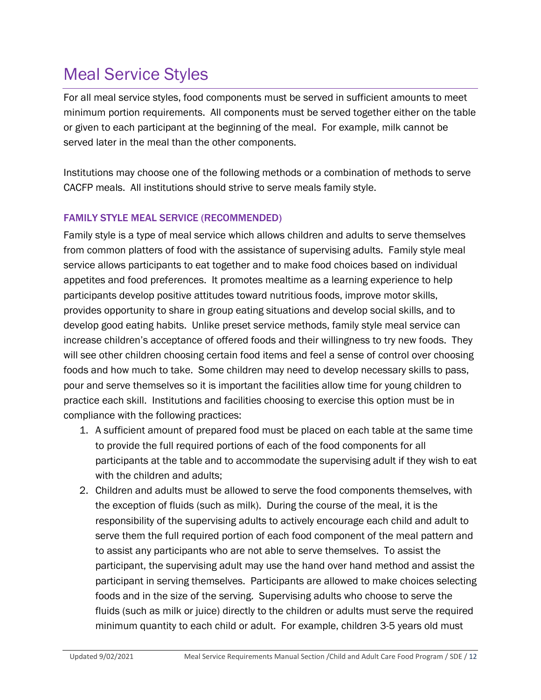### <span id="page-11-0"></span>Meal Service Styles

For all meal service styles, food components must be served in sufficient amounts to meet minimum portion requirements. All components must be served together either on the table or given to each participant at the beginning of the meal. For example, milk cannot be served later in the meal than the other components.

Institutions may choose one of the following methods or a combination of methods to serve CACFP meals. All institutions should strive to serve meals family style.

#### FAMILY STYLE MEAL SERVICE (RECOMMENDED)

Family style is a type of meal service which allows children and adults to serve themselves from common platters of food with the assistance of supervising adults. Family style meal service allows participants to eat together and to make food choices based on individual appetites and food preferences. It promotes mealtime as a learning experience to help participants develop positive attitudes toward nutritious foods, improve motor skills, provides opportunity to share in group eating situations and develop social skills, and to develop good eating habits. Unlike preset service methods, family style meal service can increase children's acceptance of offered foods and their willingness to try new foods. They will see other children choosing certain food items and feel a sense of control over choosing foods and how much to take. Some children may need to develop necessary skills to pass, pour and serve themselves so it is important the facilities allow time for young children to practice each skill. Institutions and facilities choosing to exercise this option must be in compliance with the following practices:

- 1. A sufficient amount of prepared food must be placed on each table at the same time to provide the full required portions of each of the food components for all participants at the table and to accommodate the supervising adult if they wish to eat with the children and adults;
- 2. Children and adults must be allowed to serve the food components themselves, with the exception of fluids (such as milk). During the course of the meal, it is the responsibility of the supervising adults to actively encourage each child and adult to serve them the full required portion of each food component of the meal pattern and to assist any participants who are not able to serve themselves. To assist the participant, the supervising adult may use the hand over hand method and assist the participant in serving themselves. Participants are allowed to make choices selecting foods and in the size of the serving. Supervising adults who choose to serve the fluids (such as milk or juice) directly to the children or adults must serve the required minimum quantity to each child or adult. For example, children 3-5 years old must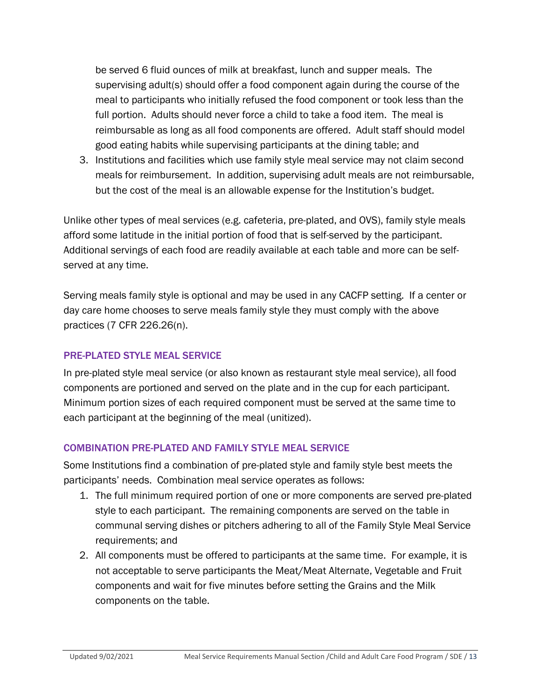be served 6 fluid ounces of milk at breakfast, lunch and supper meals. The supervising adult(s) should offer a food component again during the course of the meal to participants who initially refused the food component or took less than the full portion. Adults should never force a child to take a food item. The meal is reimbursable as long as all food components are offered. Adult staff should model good eating habits while supervising participants at the dining table; and

3. Institutions and facilities which use family style meal service may not claim second meals for reimbursement. In addition, supervising adult meals are not reimbursable, but the cost of the meal is an allowable expense for the Institution's budget.

Unlike other types of meal services (e.g. cafeteria, pre-plated, and OVS), family style meals afford some latitude in the initial portion of food that is self-served by the participant. Additional servings of each food are readily available at each table and more can be selfserved at any time.

Serving meals family style is optional and may be used in any CACFP setting. If a center or day care home chooses to serve meals family style they must comply with the above practices (7 CFR 226.26(n).

#### PRE-PLATED STYLE MEAL SERVICE

In pre-plated style meal service (or also known as restaurant style meal service), all food components are portioned and served on the plate and in the cup for each participant. Minimum portion sizes of each required component must be served at the same time to each participant at the beginning of the meal (unitized).

#### COMBINATION PRE-PLATED AND FAMILY STYLE MEAL SERVICE

Some Institutions find a combination of pre-plated style and family style best meets the participants' needs. Combination meal service operates as follows:

- 1. The full minimum required portion of one or more components are served pre-plated style to each participant. The remaining components are served on the table in communal serving dishes or pitchers adhering to all of the Family Style Meal Service requirements; and
- 2. All components must be offered to participants at the same time. For example, it is not acceptable to serve participants the Meat/Meat Alternate, Vegetable and Fruit components and wait for five minutes before setting the Grains and the Milk components on the table.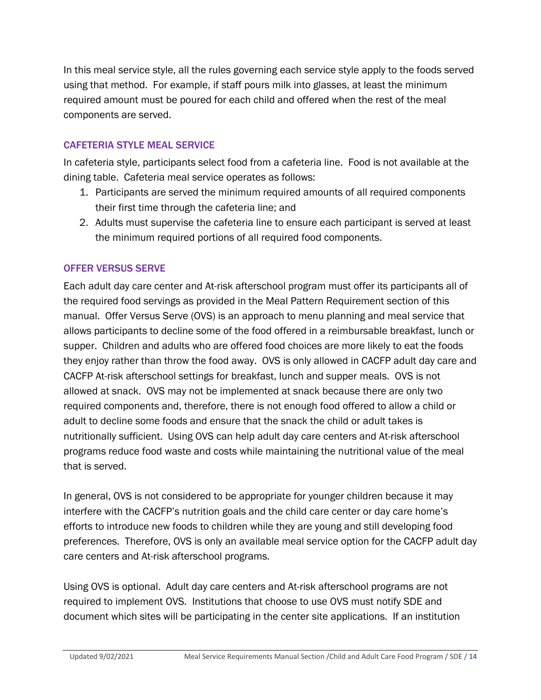In this meal service style, all the rules governing each service style apply to the foods served using that method. For example, if staff pours milk into glasses, at least the minimum required amount must be poured for each child and offered when the rest of the meal components are served.

#### CAFETERIA STYLE MEAL SERVICE

In cafeteria style, participants select food from a cafeteria line. Food is not available at the dining table. Cafeteria meal service operates as follows:

- 1. Participants are served the minimum required amounts of all required components their first time through the cafeteria line; and
- 2. Adults must supervise the cafeteria line to ensure each participant is served at least the minimum required portions of all required food components.

#### OFFER VERSUS SERVE

Each adult day care center and At-risk afterschool program must offer its participants all of the required food servings as provided in the Meal Pattern Requirement section of this manual. Offer Versus Serve (OVS) is an approach to menu planning and meal service that allows participants to decline some of the food offered in a reimbursable breakfast, lunch or supper. Children and adults who are offered food choices are more likely to eat the foods they enjoy rather than throw the food away. OVS is only allowed in CACFP adult day care and CACFP At-risk afterschool settings for breakfast, lunch and supper meals. OVS is not allowed at snack. OVS may not be implemented at snack because there are only two required components and, therefore, there is not enough food offered to allow a child or adult to decline some foods and ensure that the snack the child or adult takes is nutritionally sufficient. Using OVS can help adult day care centers and At-risk afterschool programs reduce food waste and costs while maintaining the nutritional value of the meal that is served.

In general, OVS is not considered to be appropriate for younger children because it may interfere with the CACFP's nutrition goals and the child care center or day care home's efforts to introduce new foods to children while they are young and still developing food preferences. Therefore, OVS is only an available meal service option for the CACFP adult day care centers and At-risk afterschool programs.

Using OVS is optional. Adult day care centers and At-risk afterschool programs are not required to implement OVS. Institutions that choose to use OVS must notify SDE and document which sites will be participating in the center site applications. If an institution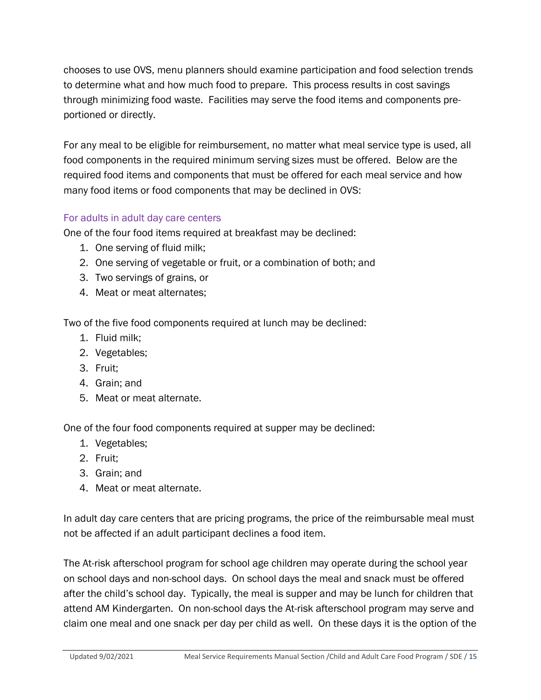chooses to use OVS, menu planners should examine participation and food selection trends to determine what and how much food to prepare. This process results in cost savings through minimizing food waste. Facilities may serve the food items and components preportioned or directly.

For any meal to be eligible for reimbursement, no matter what meal service type is used, all food components in the required minimum serving sizes must be offered. Below are the required food items and components that must be offered for each meal service and how many food items or food components that may be declined in OVS:

#### For adults in adult day care centers

One of the four food items required at breakfast may be declined:

- 1. One serving of fluid milk;
- 2. One serving of vegetable or fruit, or a combination of both; and
- 3. Two servings of grains, or
- 4. Meat or meat alternates;

Two of the five food components required at lunch may be declined:

- 1. Fluid milk;
- 2. Vegetables;
- 3. Fruit;
- 4. Grain; and
- 5. Meat or meat alternate.

One of the four food components required at supper may be declined:

- 1. Vegetables;
- 2. Fruit;
- 3. Grain; and
- 4. Meat or meat alternate.

In adult day care centers that are pricing programs, the price of the reimbursable meal must not be affected if an adult participant declines a food item.

The At-risk afterschool program for school age children may operate during the school year on school days and non-school days. On school days the meal and snack must be offered after the child's school day. Typically, the meal is supper and may be lunch for children that attend AM Kindergarten. On non-school days the At-risk afterschool program may serve and claim one meal and one snack per day per child as well. On these days it is the option of the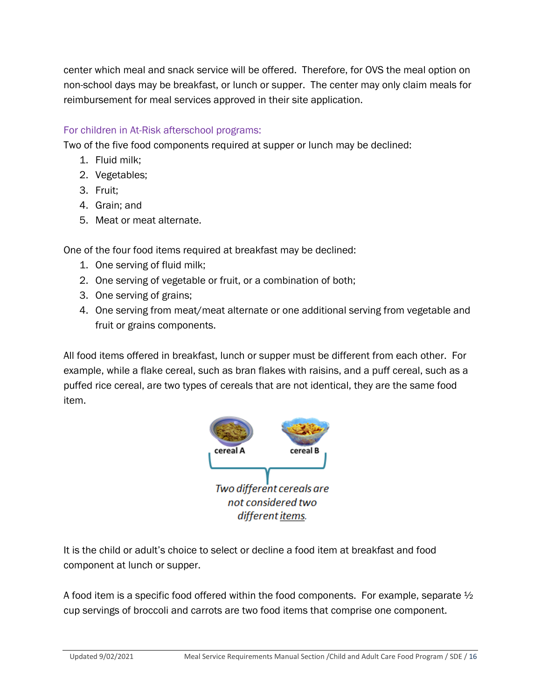center which meal and snack service will be offered. Therefore, for OVS the meal option on non-school days may be breakfast, or lunch or supper. The center may only claim meals for reimbursement for meal services approved in their site application.

#### For children in At-Risk afterschool programs:

Two of the five food components required at supper or lunch may be declined:

- 1. Fluid milk;
- 2. Vegetables;
- 3. Fruit;
- 4. Grain; and
- 5. Meat or meat alternate.

One of the four food items required at breakfast may be declined:

- 1. One serving of fluid milk;
- 2. One serving of vegetable or fruit, or a combination of both;
- 3. One serving of grains;
- 4. One serving from meat/meat alternate or one additional serving from vegetable and fruit or grains components.

All food items offered in breakfast, lunch or supper must be different from each other. For example, while a flake cereal, such as bran flakes with raisins, and a puff cereal, such as a puffed rice cereal, are two types of cereals that are not identical, they are the same food item.



It is the child or adult's choice to select or decline a food item at breakfast and food component at lunch or supper.

A food item is a specific food offered within the food components. For example, separate  $\frac{1}{2}$ cup servings of broccoli and carrots are two food items that comprise one component.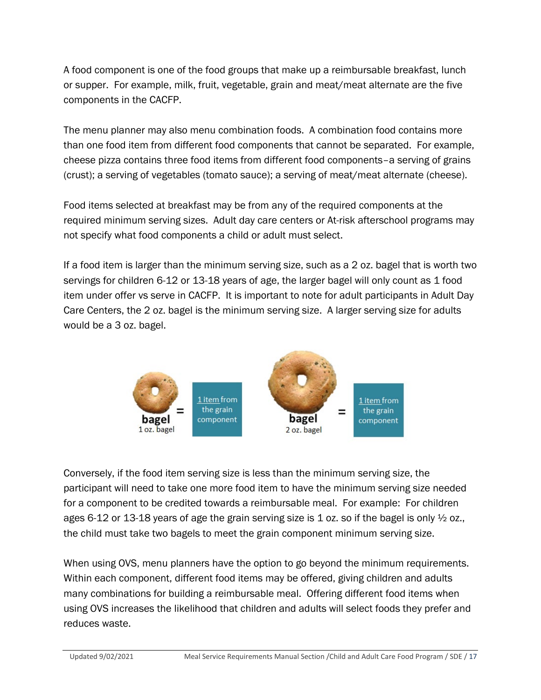A food component is one of the food groups that make up a reimbursable breakfast, lunch or supper. For example, milk, fruit, vegetable, grain and meat/meat alternate are the five components in the CACFP.

The menu planner may also menu combination foods. A combination food contains more than one food item from different food components that cannot be separated. For example, cheese pizza contains three food items from different food components–a serving of grains (crust); a serving of vegetables (tomato sauce); a serving of meat/meat alternate (cheese).

Food items selected at breakfast may be from any of the required components at the required minimum serving sizes. Adult day care centers or At-risk afterschool programs may not specify what food components a child or adult must select.

If a food item is larger than the minimum serving size, such as a 2 oz. bagel that is worth two servings for children 6-12 or 13-18 years of age, the larger bagel will only count as 1 food item under offer vs serve in CACFP. It is important to note for adult participants in Adult Day Care Centers, the 2 oz. bagel is the minimum serving size. A larger serving size for adults would be a 3 oz. bagel.



Conversely, if the food item serving size is less than the minimum serving size, the participant will need to take one more food item to have the minimum serving size needed for a component to be credited towards a reimbursable meal. For example: For children ages 6-12 or 13-18 years of age the grain serving size is 1 oz. so if the bagel is only  $\frac{1}{2}$  oz., the child must take two bagels to meet the grain component minimum serving size.

When using OVS, menu planners have the option to go beyond the minimum requirements. Within each component, different food items may be offered, giving children and adults many combinations for building a reimbursable meal. Offering different food items when using OVS increases the likelihood that children and adults will select foods they prefer and reduces waste.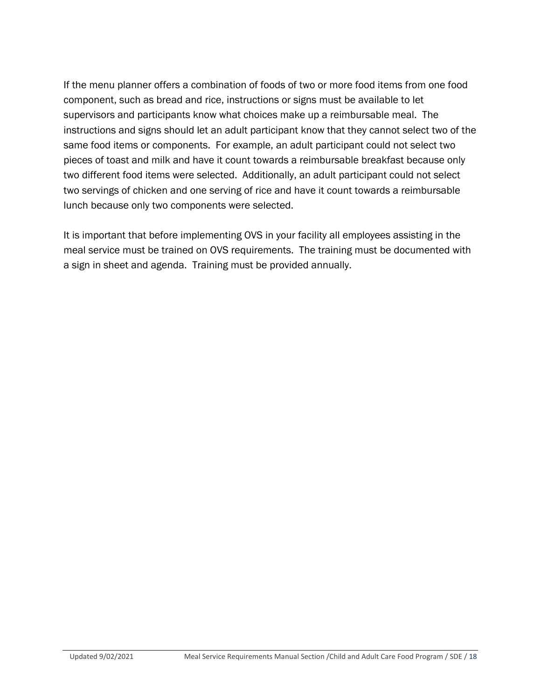If the menu planner offers a combination of foods of two or more food items from one food component, such as bread and rice, instructions or signs must be available to let supervisors and participants know what choices make up a reimbursable meal. The instructions and signs should let an adult participant know that they cannot select two of the same food items or components. For example, an adult participant could not select two pieces of toast and milk and have it count towards a reimbursable breakfast because only two different food items were selected. Additionally, an adult participant could not select two servings of chicken and one serving of rice and have it count towards a reimbursable lunch because only two components were selected.

It is important that before implementing OVS in your facility all employees assisting in the meal service must be trained on OVS requirements. The training must be documented with a sign in sheet and agenda. Training must be provided annually.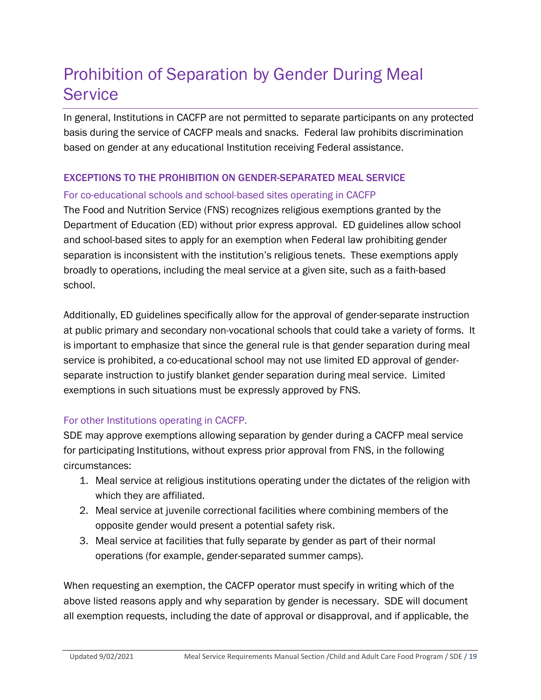### <span id="page-18-0"></span>Prohibition of Separation by Gender During Meal **Service**

In general, Institutions in CACFP are not permitted to separate participants on any protected basis during the service of CACFP meals and snacks. Federal law prohibits discrimination based on gender at any educational Institution receiving Federal assistance.

#### EXCEPTIONS TO THE PROHIBITION ON GENDER-SEPARATED MEAL SERVICE

#### For co-educational schools and school-based sites operating in CACFP

The Food and Nutrition Service (FNS) recognizes religious exemptions granted by the Department of Education (ED) without prior express approval. ED guidelines allow school and school-based sites to apply for an exemption when Federal law prohibiting gender separation is inconsistent with the institution's religious tenets. These exemptions apply broadly to operations, including the meal service at a given site, such as a faith-based school.

Additionally, ED guidelines specifically allow for the approval of gender-separate instruction at public primary and secondary non-vocational schools that could take a variety of forms. It is important to emphasize that since the general rule is that gender separation during meal service is prohibited, a co-educational school may not use limited ED approval of genderseparate instruction to justify blanket gender separation during meal service. Limited exemptions in such situations must be expressly approved by FNS.

#### For other Institutions operating in CACFP.

SDE may approve exemptions allowing separation by gender during a CACFP meal service for participating Institutions, without express prior approval from FNS, in the following circumstances:

- 1. Meal service at religious institutions operating under the dictates of the religion with which they are affiliated.
- 2. Meal service at juvenile correctional facilities where combining members of the opposite gender would present a potential safety risk.
- 3. Meal service at facilities that fully separate by gender as part of their normal operations (for example, gender-separated summer camps).

When requesting an exemption, the CACFP operator must specify in writing which of the above listed reasons apply and why separation by gender is necessary. SDE will document all exemption requests, including the date of approval or disapproval, and if applicable, the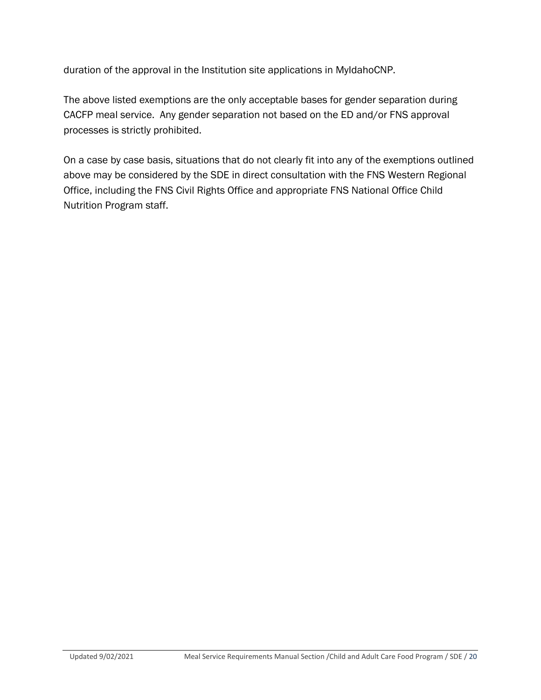duration of the approval in the Institution site applications in MyIdahoCNP.

The above listed exemptions are the only acceptable bases for gender separation during CACFP meal service. Any gender separation not based on the ED and/or FNS approval processes is strictly prohibited.

On a case by case basis, situations that do not clearly fit into any of the exemptions outlined above may be considered by the SDE in direct consultation with the FNS Western Regional Office, including the FNS Civil Rights Office and appropriate FNS National Office Child Nutrition Program staff.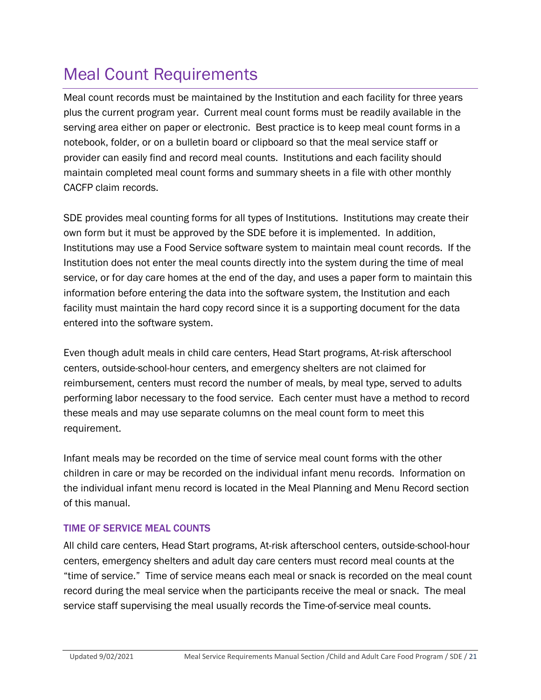### <span id="page-20-0"></span>Meal Count Requirements

Meal count records must be maintained by the Institution and each facility for three years plus the current program year. Current meal count forms must be readily available in the serving area either on paper or electronic. Best practice is to keep meal count forms in a notebook, folder, or on a bulletin board or clipboard so that the meal service staff or provider can easily find and record meal counts. Institutions and each facility should maintain completed meal count forms and summary sheets in a file with other monthly CACFP claim records.

SDE provides meal counting forms for all types of Institutions. Institutions may create their own form but it must be approved by the SDE before it is implemented. In addition, Institutions may use a Food Service software system to maintain meal count records. If the Institution does not enter the meal counts directly into the system during the time of meal service, or for day care homes at the end of the day, and uses a paper form to maintain this information before entering the data into the software system, the Institution and each facility must maintain the hard copy record since it is a supporting document for the data entered into the software system.

Even though adult meals in child care centers, Head Start programs, At-risk afterschool centers, outside-school-hour centers, and emergency shelters are not claimed for reimbursement, centers must record the number of meals, by meal type, served to adults performing labor necessary to the food service. Each center must have a method to record these meals and may use separate columns on the meal count form to meet this requirement.

Infant meals may be recorded on the time of service meal count forms with the other children in care or may be recorded on the individual infant menu records. Information on the individual infant menu record is located in the Meal Planning and Menu Record section of this manual.

#### TIME OF SERVICE MEAL COUNTS

All child care centers, Head Start programs, At-risk afterschool centers, outside-school-hour centers, emergency shelters and adult day care centers must record meal counts at the "time of service." Time of service means each meal or snack is recorded on the meal count record during the meal service when the participants receive the meal or snack. The meal service staff supervising the meal usually records the Time-of-service meal counts.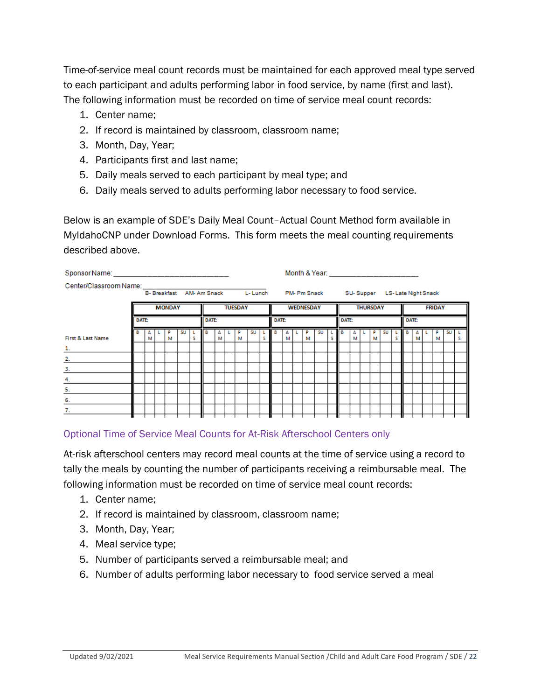Time-of-service meal count records must be maintained for each approved meal type served to each participant and adults performing labor in food service, by name (first and last). The following information must be recorded on time of service meal count records:

- 1. Center name;
- 2. If record is maintained by classroom, classroom name;
- 3. Month, Day, Year;
- 4. Participants first and last name;
- 5. Daily meals served to each participant by meal type; and
- 6. Daily meals served to adults performing labor necessary to food service.

Below is an example of SDE's Daily Meal Count–Actual Count Method form available in MyIdahoCNP under Download Forms. This form meets the meal counting requirements described above.

|                                                                                     |              |   |  |               |    |   |                |   |  |        |    |                                            |              |        | Month & Year: _________________________ |        |    |                 |       |   |  |        |    |               |       |   |  |        |    |   |
|-------------------------------------------------------------------------------------|--------------|---|--|---------------|----|---|----------------|---|--|--------|----|--------------------------------------------|--------------|--------|-----------------------------------------|--------|----|-----------------|-------|---|--|--------|----|---------------|-------|---|--|--------|----|---|
| Center/Classroom Name: ______________________<br>B- Breakfast AM- Am Snack L- Lunch |              |   |  |               |    |   |                |   |  |        |    | PM- Pm Snack SU-Supper LS-Late Night Snack |              |        |                                         |        |    |                 |       |   |  |        |    |               |       |   |  |        |    |   |
|                                                                                     |              |   |  | <b>MONDAY</b> |    |   | <b>TUESDAY</b> |   |  |        |    | <b>WEDNESDAY</b>                           |              |        |                                         |        |    | <b>THURSDAY</b> |       |   |  |        |    | <b>FRIDAY</b> |       |   |  |        |    |   |
|                                                                                     | <b>DATE:</b> |   |  |               |    |   | <b>DATE:</b>   |   |  |        |    |                                            | <b>DATE:</b> |        |                                         |        |    |                 | DATE: |   |  |        |    |               | DATE: |   |  |        |    |   |
| First & Last Name                                                                   | в            | м |  | D<br>м        | SU | s | в              | м |  | p<br>м | su | s                                          | в            | А<br>м |                                         | p<br>м | su |                 | в     | М |  | p<br>м | SU |               | в     | м |  | p<br>м | SU | s |
| $\perp$                                                                             |              |   |  |               |    |   |                |   |  |        |    |                                            |              |        |                                         |        |    |                 |       |   |  |        |    |               |       |   |  |        |    |   |
| 2.                                                                                  |              |   |  |               |    |   |                |   |  |        |    |                                            |              |        |                                         |        |    |                 |       |   |  |        |    |               |       |   |  |        |    |   |
| 3.                                                                                  |              |   |  |               |    |   |                |   |  |        |    |                                            |              |        |                                         |        |    |                 |       |   |  |        |    |               |       |   |  |        |    |   |
| 4.                                                                                  |              |   |  |               |    |   |                |   |  |        |    |                                            |              |        |                                         |        |    |                 |       |   |  |        |    |               |       |   |  |        |    |   |
| 5.                                                                                  |              |   |  |               |    |   |                |   |  |        |    |                                            |              |        |                                         |        |    |                 |       |   |  |        |    |               |       |   |  |        |    |   |
| 6.                                                                                  |              |   |  |               |    |   |                |   |  |        |    |                                            |              |        |                                         |        |    |                 |       |   |  |        |    |               |       |   |  |        |    |   |
| 7.                                                                                  |              |   |  |               |    |   |                |   |  |        |    |                                            |              |        |                                         |        |    |                 |       |   |  |        |    |               |       |   |  |        |    |   |
|                                                                                     |              |   |  |               |    |   |                |   |  |        |    |                                            |              |        |                                         |        |    |                 |       |   |  |        |    |               |       |   |  |        |    |   |

#### Optional Time of Service Meal Counts for At-Risk Afterschool Centers only

At-risk afterschool centers may record meal counts at the time of service using a record to tally the meals by counting the number of participants receiving a reimbursable meal. The following information must be recorded on time of service meal count records:

- 1. Center name;
- 2. If record is maintained by classroom, classroom name;
- 3. Month, Day, Year;
- 4. Meal service type;
- 5. Number of participants served a reimbursable meal; and
- 6. Number of adults performing labor necessary to food service served a meal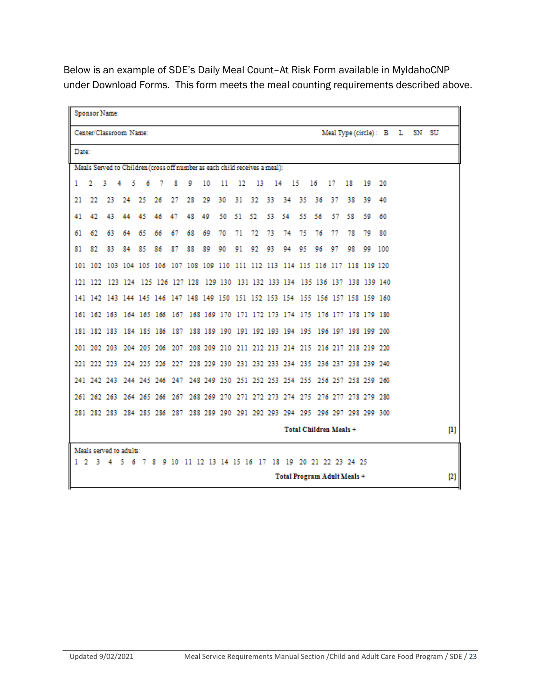Below is an example of SDE's Daily Meal Count–At Risk Form available in MyIdahoCNP under Download Forms. This form meets the meal counting requirements described above.

|                | Sponsor Name:                                                                   |    |           |     |    |    |    |    |     |       |          |    |       |     |                                                   |     |    |    |                         |       |                                   |
|----------------|---------------------------------------------------------------------------------|----|-----------|-----|----|----|----|----|-----|-------|----------|----|-------|-----|---------------------------------------------------|-----|----|----|-------------------------|-------|-----------------------------------|
|                | Center/Classroom Name:                                                          |    |           |     |    |    |    |    |     |       |          |    |       |     |                                                   |     |    |    | Mean Type (circle): B L | SN SU |                                   |
|                | Date:                                                                           |    |           |     |    |    |    |    |     |       |          |    |       |     |                                                   |     |    |    |                         |       |                                   |
|                | Meals Served to Children (cross off number as each child receives a meal):      |    |           |     |    |    |    |    |     |       |          |    |       |     |                                                   |     |    |    |                         |       |                                   |
| 1.             | 2                                                                               | 3  | 4.<br>- 5 | 6   | -7 | 8  | 9  | 10 | 11  | 12    | - 13     |    | 14 15 |     | 16                                                | 17  | 18 | 19 | 20                      |       |                                   |
| 21             | 22                                                                              | 23 | 24        | 25  | 26 | 27 | 28 | 29 | 30  |       | 31 32 33 |    | -34   | -35 | 36                                                | -37 | 38 | 39 | 40                      |       |                                   |
| 41             | 42                                                                              | 43 | 44        | 45  | 46 | 47 | 48 | 49 | 50. | 51 52 |          | 53 | 54.   | 55  | 56                                                | 57  | 58 | 59 | 60                      |       |                                   |
| 61             | 62                                                                              | 63 | 64        | 65  | 66 | 67 | 68 | 69 | 70  | 71    | 72       | 73 | 74    | 75  | 76                                                | 77  | 78 | 70 | 80                      |       |                                   |
| 81             | 82                                                                              | 83 | 84        | 85  | 86 | 87 | 88 | 89 | 90  | 91    | 92       | 93 | 94    | 95  | 96                                                | 97  | 98 | 99 | 100                     |       |                                   |
|                | 101 102 103 104 105 106 107 108 109 110 111 112 113 114 115 116 117 118 119 120 |    |           |     |    |    |    |    |     |       |          |    |       |     |                                                   |     |    |    |                         |       |                                   |
|                | 121 122 123 124 125 126 127 128 129 130 131 132 133 134 135 136 137 138 139 140 |    |           |     |    |    |    |    |     |       |          |    |       |     |                                                   |     |    |    |                         |       |                                   |
|                | 141 142 143 144 145 146 147 148 149 150 151 152 153 154 155 156 157 158 159 160 |    |           |     |    |    |    |    |     |       |          |    |       |     |                                                   |     |    |    |                         |       |                                   |
|                | 161 162 163 164 165 166 167 168 169 170 171 172 173 174 175 176 177 178 179 180 |    |           |     |    |    |    |    |     |       |          |    |       |     |                                                   |     |    |    |                         |       |                                   |
|                | 181 182 183 184 185 186 187 188 189 190 191 192 193 194 195 196 197 198 199 200 |    |           |     |    |    |    |    |     |       |          |    |       |     |                                                   |     |    |    |                         |       |                                   |
|                | 201 202 203 204 205 206 207 208 209 210 211 212 213 214 215 216 217 218 219 220 |    |           |     |    |    |    |    |     |       |          |    |       |     |                                                   |     |    |    |                         |       |                                   |
|                | 221 222 223 224 225 226 227 228 229 230 231 232 233 234 235 236 237 238 239 240 |    |           |     |    |    |    |    |     |       |          |    |       |     |                                                   |     |    |    |                         |       |                                   |
|                | 241 242 243 244 245 246 247 248 249 250 251 252 253 254 255 256 257 258 259 260 |    |           |     |    |    |    |    |     |       |          |    |       |     |                                                   |     |    |    |                         |       |                                   |
|                | 261 262 263 264 265 266 267 268 269 270 271 272 273 274 275 276 277 278 279 280 |    |           |     |    |    |    |    |     |       |          |    |       |     |                                                   |     |    |    |                         |       |                                   |
|                | 281 282 283 284 285 286 287 288 289 290 291 292 293 294 295 296 297 298 299 300 |    |           |     |    |    |    |    |     |       |          |    |       |     |                                                   |     |    |    |                         |       |                                   |
|                |                                                                                 |    |           |     |    |    |    |    |     |       |          |    |       |     | Total Children Meals +                            |     |    |    |                         |       | $\begin{bmatrix} 1 \end{bmatrix}$ |
|                | Meals served to adults:                                                         |    |           |     |    |    |    |    |     |       |          |    |       |     |                                                   |     |    |    |                         |       |                                   |
| 1 <sub>2</sub> | 3.                                                                              |    | -5        | 678 |    |    |    |    |     |       |          |    |       |     | 9 10 11 12 13 14 15 16 17 18 19 20 21 22 23 24 25 |     |    |    |                         |       |                                   |
|                |                                                                                 |    |           |     |    |    |    |    |     |       |          |    |       |     | Total Program Adult Meals +                       |     |    |    |                         |       | $[2]$                             |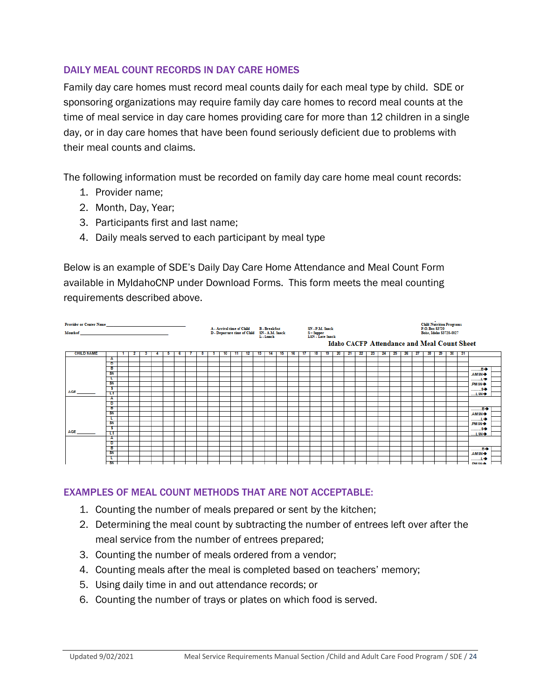#### DAILY MEAL COUNT RECORDS IN DAY CARE HOMES

Family day care homes must record meal counts daily for each meal type by child. SDE or sponsoring organizations may require family day care homes to record meal counts at the time of meal service in day care homes providing care for more than 12 children in a single day, or in day care homes that have been found seriously deficient due to problems with their meal counts and claims.

The following information must be recorded on family day care home meal count records:

- 1. Provider name;
- 2. Month, Day, Year;
- 3. Participants first and last name;
- 4. Daily meals served to each participant by meal type

Below is an example of SDE's Daily Day Care Home Attendance and Meal Count Form available in MyIdahoCNP under Download Forms. This form meets the meal counting requirements described above.



#### EXAMPLES OF MEAL COUNT METHODS THAT ARE NOT ACCEPTABLE:

- 1. Counting the number of meals prepared or sent by the kitchen;
- 2. Determining the meal count by subtracting the number of entrees left over after the meal service from the number of entrees prepared;
- 3. Counting the number of meals ordered from a vendor;
- 4. Counting meals after the meal is completed based on teachers' memory;
- 5. Using daily time in and out attendance records; or
- 6. Counting the number of trays or plates on which food is served.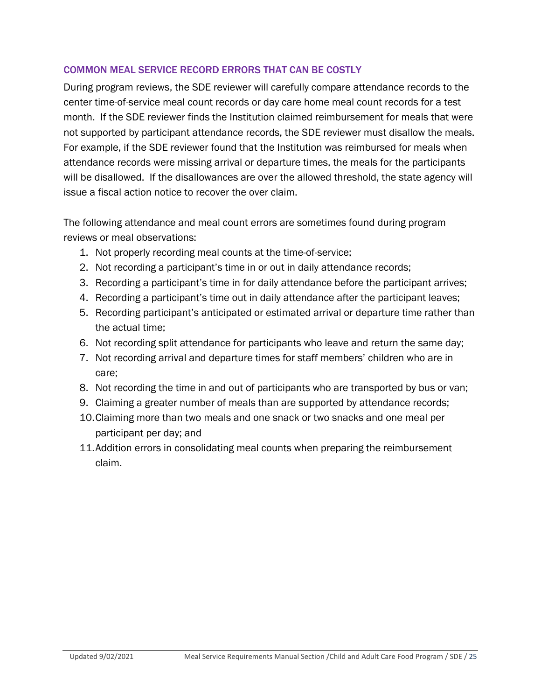#### COMMON MEAL SERVICE RECORD ERRORS THAT CAN BE COSTLY

During program reviews, the SDE reviewer will carefully compare attendance records to the center time-of-service meal count records or day care home meal count records for a test month. If the SDE reviewer finds the Institution claimed reimbursement for meals that were not supported by participant attendance records, the SDE reviewer must disallow the meals. For example, if the SDE reviewer found that the Institution was reimbursed for meals when attendance records were missing arrival or departure times, the meals for the participants will be disallowed. If the disallowances are over the allowed threshold, the state agency will issue a fiscal action notice to recover the over claim.

The following attendance and meal count errors are sometimes found during program reviews or meal observations:

- 1. Not properly recording meal counts at the time-of-service;
- 2. Not recording a participant's time in or out in daily attendance records;
- 3. Recording a participant's time in for daily attendance before the participant arrives;
- 4. Recording a participant's time out in daily attendance after the participant leaves;
- 5. Recording participant's anticipated or estimated arrival or departure time rather than the actual time;
- 6. Not recording split attendance for participants who leave and return the same day;
- 7. Not recording arrival and departure times for staff members' children who are in care;
- 8. Not recording the time in and out of participants who are transported by bus or van;
- 9. Claiming a greater number of meals than are supported by attendance records;
- 10.Claiming more than two meals and one snack or two snacks and one meal per participant per day; and
- 11.Addition errors in consolidating meal counts when preparing the reimbursement claim.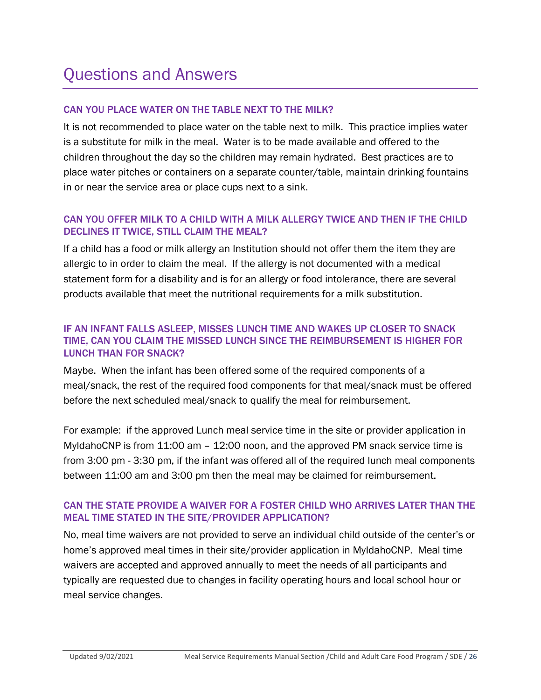### Questions and Answers

#### CAN YOU PLACE WATER ON THE TABLE NEXT TO THE MILK?

It is not recommended to place water on the table next to milk. This practice implies water is a substitute for milk in the meal. Water is to be made available and offered to the children throughout the day so the children may remain hydrated. Best practices are to place water pitches or containers on a separate counter/table, maintain drinking fountains in or near the service area or place cups next to a sink.

#### CAN YOU OFFER MILK TO A CHILD WITH A MILK ALLERGY TWICE AND THEN IF THE CHILD DECLINES IT TWICE, STILL CLAIM THE MEAL?

If a child has a food or milk allergy an Institution should not offer them the item they are allergic to in order to claim the meal. If the allergy is not documented with a medical statement form for a disability and is for an allergy or food intolerance, there are several products available that meet the nutritional requirements for a milk substitution.

#### IF AN INFANT FALLS ASLEEP, MISSES LUNCH TIME AND WAKES UP CLOSER TO SNACK TIME, CAN YOU CLAIM THE MISSED LUNCH SINCE THE REIMBURSEMENT IS HIGHER FOR LUNCH THAN FOR SNACK?

Maybe. When the infant has been offered some of the required components of a meal/snack, the rest of the required food components for that meal/snack must be offered before the next scheduled meal/snack to qualify the meal for reimbursement.

For example: if the approved Lunch meal service time in the site or provider application in MyIdahoCNP is from 11:00 am – 12:00 noon, and the approved PM snack service time is from 3:00 pm - 3:30 pm, if the infant was offered all of the required lunch meal components between 11:00 am and 3:00 pm then the meal may be claimed for reimbursement.

#### CAN THE STATE PROVIDE A WAIVER FOR A FOSTER CHILD WHO ARRIVES LATER THAN THE MEAL TIME STATED IN THE SITE/PROVIDER APPLICATION?

No, meal time waivers are not provided to serve an individual child outside of the center's or home's approved meal times in their site/provider application in MyIdahoCNP. Meal time waivers are accepted and approved annually to meet the needs of all participants and typically are requested due to changes in facility operating hours and local school hour or meal service changes.